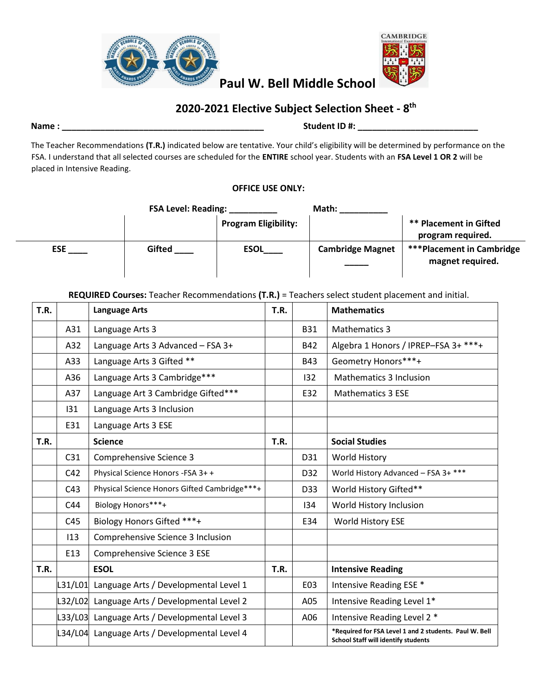



# **2020-2021 Elective Subject Selection Sheet - 8 th**

## **Name : \_\_\_\_\_\_\_\_\_\_\_\_\_\_\_\_\_\_\_\_\_\_\_\_\_\_\_\_\_\_\_\_\_\_\_\_\_\_\_\_\_\_ Student ID #: \_\_\_\_\_\_\_\_\_\_\_\_\_\_\_\_\_\_\_\_\_\_\_\_\_**

The Teacher Recommendations **(T.R.)** indicated below are tentative. Your child's eligibility will be determined by performance on the FSA. I understand that all selected courses are scheduled for the **ENTIRE** school year. Students with an **FSA Level 1 OR 2** will be placed in Intensive Reading.

## **OFFICE USE ONLY:**

|            | <b>FSA Level: Reading:</b> |                             | Math:                   |                                                    |
|------------|----------------------------|-----------------------------|-------------------------|----------------------------------------------------|
|            |                            | <b>Program Eligibility:</b> |                         | <b>** Placement in Gifted</b><br>program required. |
| <b>ESE</b> | Gifted                     | <b>ESOL</b>                 | <b>Cambridge Magnet</b> | <b>***Placement in Cambridge</b>                   |
|            |                            |                             |                         | magnet required.                                   |

### **REQUIRED Courses:** Teacher Recommendations **(T.R.)** = Teachers select student placement and initial.

| <b>T.R.</b> |         | <b>Language Arts</b>                          | T.R. |            | <b>Mathematics</b>                                                                                   |
|-------------|---------|-----------------------------------------------|------|------------|------------------------------------------------------------------------------------------------------|
|             | A31     | Language Arts 3                               |      | <b>B31</b> | <b>Mathematics 3</b>                                                                                 |
|             | A32     | Language Arts 3 Advanced - FSA 3+             |      | <b>B42</b> | Algebra 1 Honors / IPREP-FSA 3+ ***+                                                                 |
|             | A33     | Language Arts 3 Gifted **                     |      | <b>B43</b> | Geometry Honors***+                                                                                  |
|             | A36     | Language Arts 3 Cambridge***                  |      | 132        | <b>Mathematics 3 Inclusion</b>                                                                       |
|             | A37     | Language Art 3 Cambridge Gifted***            |      | E32        | <b>Mathematics 3 ESE</b>                                                                             |
|             | 131     | Language Arts 3 Inclusion                     |      |            |                                                                                                      |
|             | E31     | Language Arts 3 ESE                           |      |            |                                                                                                      |
| T.R.        |         | <b>Science</b>                                | T.R. |            | <b>Social Studies</b>                                                                                |
|             | C31     | Comprehensive Science 3                       |      | D31        | <b>World History</b>                                                                                 |
|             | C42     | Physical Science Honors - FSA 3+ +            |      | D32        | World History Advanced - FSA 3+ ***                                                                  |
|             | C43     | Physical Science Honors Gifted Cambridge***+  |      | D33        | World History Gifted**                                                                               |
|             | C44     | Biology Honors***+                            |      | 134        | World History Inclusion                                                                              |
|             | C45     | Biology Honors Gifted ***+                    |      | E34        | World History ESE                                                                                    |
|             | 113     | Comprehensive Science 3 Inclusion             |      |            |                                                                                                      |
|             | E13     | Comprehensive Science 3 ESE                   |      |            |                                                                                                      |
| <b>T.R.</b> |         | <b>ESOL</b>                                   | T.R. |            | <b>Intensive Reading</b>                                                                             |
|             | L31/L01 | Language Arts / Developmental Level 1         |      | E03        | Intensive Reading ESE *                                                                              |
|             |         | L32/L02 Language Arts / Developmental Level 2 |      | A05        | Intensive Reading Level 1*                                                                           |
|             |         | L33/L03 Language Arts / Developmental Level 3 |      | A06        | Intensive Reading Level 2 *                                                                          |
|             |         | L34/L04 Language Arts / Developmental Level 4 |      |            | *Required for FSA Level 1 and 2 students. Paul W. Bell<br><b>School Staff will identify students</b> |